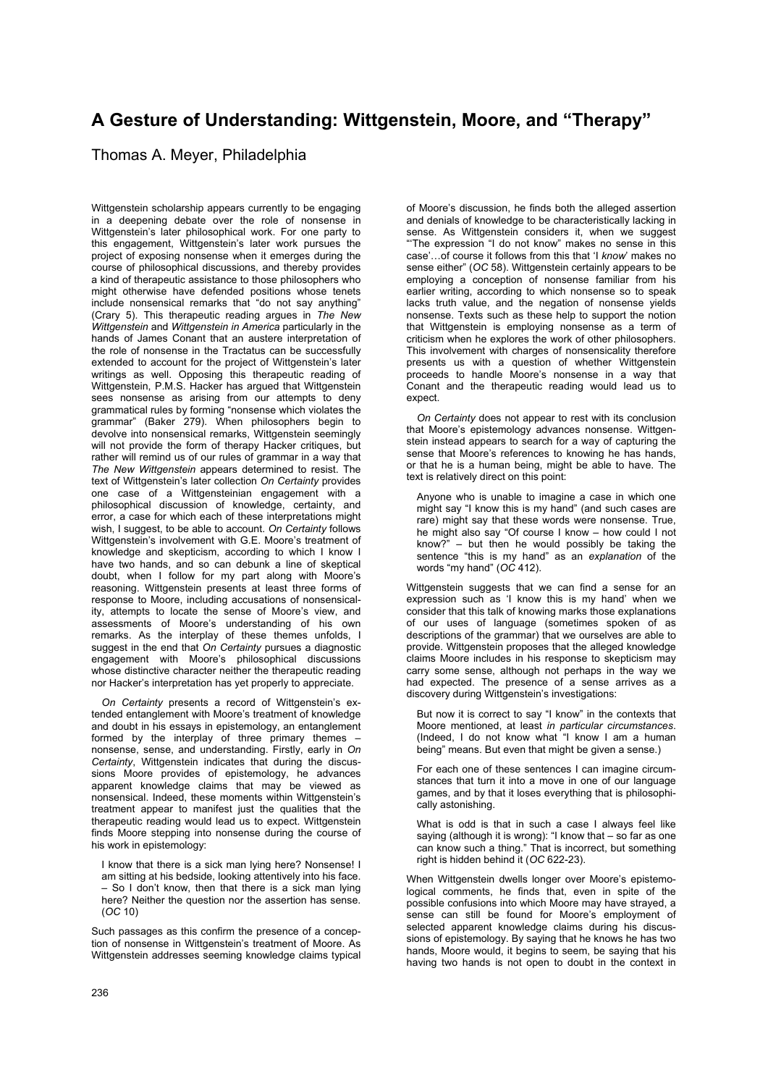## **A Gesture of Understanding: Wittgenstein, Moore, and "Therapy"**

## Thomas A. Meyer, Philadelphia

Wittgenstein scholarship appears currently to be engaging in a deepening debate over the role of nonsense in Wittgenstein's later philosophical work. For one party to this engagement, Wittgenstein's later work pursues the project of exposing nonsense when it emerges during the course of philosophical discussions, and thereby provides a kind of therapeutic assistance to those philosophers who might otherwise have defended positions whose tenets include nonsensical remarks that "do not say anything" (Crary 5). This therapeutic reading argues in *The New Wittgenstein* and *Wittgenstein in America* particularly in the hands of James Conant that an austere interpretation of the role of nonsense in the Tractatus can be successfully extended to account for the project of Wittgenstein's later writings as well. Opposing this therapeutic reading of Wittgenstein, P.M.S. Hacker has argued that Wittgenstein sees nonsense as arising from our attempts to deny grammatical rules by forming "nonsense which violates the grammar" (Baker 279). When philosophers begin to devolve into nonsensical remarks. Wittgenstein seemingly will not provide the form of therapy Hacker critiques, but rather will remind us of our rules of grammar in a way that *The New Wittgenstein* appears determined to resist. The text of Wittgenstein's later collection *On Certainty* provides one case of a Wittgensteinian engagement with a philosophical discussion of knowledge, certainty, and error, a case for which each of these interpretations might wish, I suggest, to be able to account. *On Certainty* follows Wittgenstein's involvement with G.E. Moore's treatment of knowledge and skepticism, according to which I know I have two hands, and so can debunk a line of skeptical doubt, when I follow for my part along with Moore's reasoning. Wittgenstein presents at least three forms of response to Moore, including accusations of nonsensicality, attempts to locate the sense of Moore's view, and assessments of Moore's understanding of his own remarks. As the interplay of these themes unfolds, I suggest in the end that *On Certainty* pursues a diagnostic engagement with Moore's philosophical discussions whose distinctive character neither the therapeutic reading nor Hacker's interpretation has yet properly to appreciate.

*On Certainty* presents a record of Wittgenstein's extended entanglement with Moore's treatment of knowledge and doubt in his essays in epistemology, an entanglement formed by the interplay of three primary themes nonsense, sense, and understanding. Firstly, early in *On Certainty*, Wittgenstein indicates that during the discussions Moore provides of epistemology, he advances apparent knowledge claims that may be viewed as nonsensical. Indeed, these moments within Wittgenstein's treatment appear to manifest just the qualities that the therapeutic reading would lead us to expect. Wittgenstein finds Moore stepping into nonsense during the course of his work in epistemology:

I know that there is a sick man lying here? Nonsense! I am sitting at his bedside, looking attentively into his face. – So I don't know, then that there is a sick man lying here? Neither the question nor the assertion has sense. (*OC* 10)

Such passages as this confirm the presence of a conception of nonsense in Wittgenstein's treatment of Moore. As Wittgenstein addresses seeming knowledge claims typical of Moore's discussion, he finds both the alleged assertion and denials of knowledge to be characteristically lacking in sense. As Wittgenstein considers it, when we suggest "'The expression "I do not know" makes no sense in this case'…of course it follows from this that 'I *know*' makes no sense either" (*OC* 58). Wittgenstein certainly appears to be employing a conception of nonsense familiar from his earlier writing, according to which nonsense so to speak lacks truth value, and the negation of nonsense yields nonsense. Texts such as these help to support the notion that Wittgenstein is employing nonsense as a term of criticism when he explores the work of other philosophers. This involvement with charges of nonsensicality therefore presents us with a question of whether Wittgenstein proceeds to handle Moore's nonsense in a way that Conant and the therapeutic reading would lead us to expect.

*On Certainty* does not appear to rest with its conclusion that Moore's epistemology advances nonsense. Wittgenstein instead appears to search for a way of capturing the sense that Moore's references to knowing he has hands, or that he is a human being, might be able to have. The text is relatively direct on this point:

Anyone who is unable to imagine a case in which one might say "I know this is my hand" (and such cases are rare) might say that these words were nonsense. True, he might also say "Of course I know – how could I not know?"  $-$  but then he would possibly be taking the sentence "this is my hand" as an *explanation* of the words "my hand" (*OC* 412).

Wittgenstein suggests that we can find a sense for an expression such as 'I know this is my hand' when we consider that this talk of knowing marks those explanations of our uses of language (sometimes spoken of as descriptions of the grammar) that we ourselves are able to provide. Wittgenstein proposes that the alleged knowledge claims Moore includes in his response to skepticism may carry some sense, although not perhaps in the way we had expected. The presence of a sense arrives as a discovery during Wittgenstein's investigations:

But now it is correct to say "I know" in the contexts that Moore mentioned, at least *in particular circumstances*. (Indeed, I do not know what "I know I am a human being" means. But even that might be given a sense.)

For each one of these sentences I can imagine circumstances that turn it into a move in one of our language games, and by that it loses everything that is philosophically astonishing.

What is odd is that in such a case I always feel like saying (although it is wrong): "I know that – so far as one can know such a thing." That is incorrect, but something right is hidden behind it (*OC* 622-23).

When Wittgenstein dwells longer over Moore's epistemological comments, he finds that, even in spite of the possible confusions into which Moore may have strayed, a sense can still be found for Moore's employment of selected apparent knowledge claims during his discussions of epistemology. By saying that he knows he has two hands, Moore would, it begins to seem, be saying that his having two hands is not open to doubt in the context in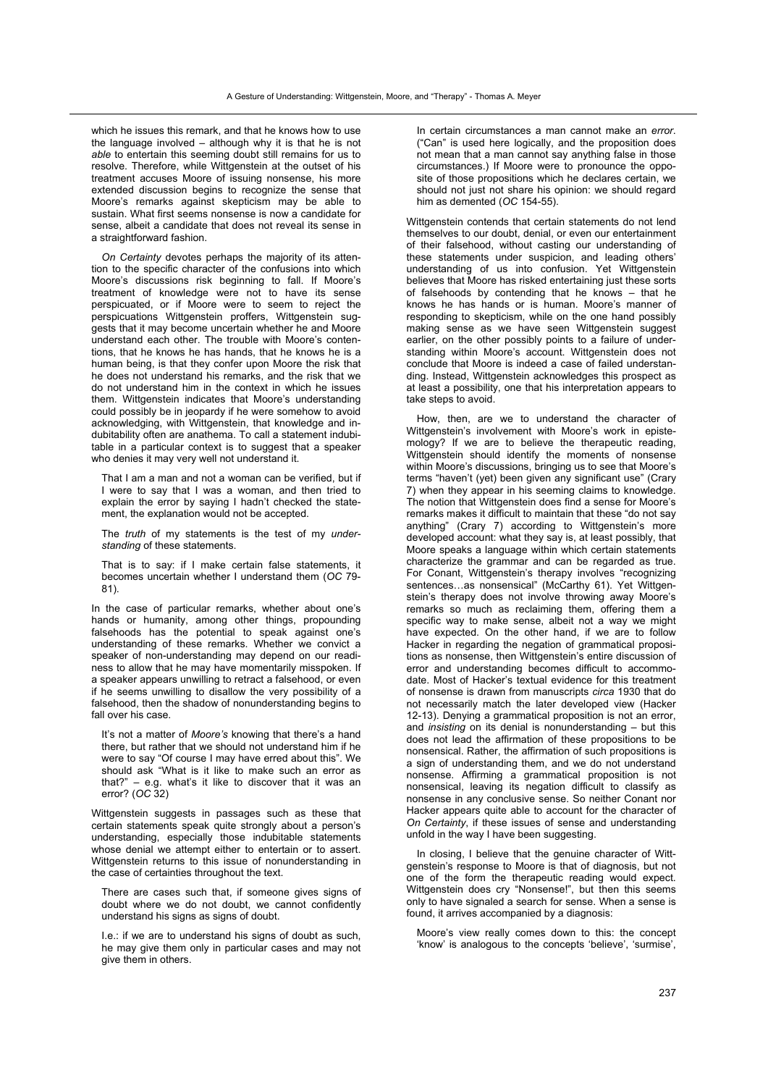which he issues this remark, and that he knows how to use the language involved – although why it is that he is not *able* to entertain this seeming doubt still remains for us to resolve. Therefore, while Wittgenstein at the outset of his treatment accuses Moore of issuing nonsense, his more extended discussion begins to recognize the sense that Moore's remarks against skepticism may be able to sustain. What first seems nonsense is now a candidate for sense, albeit a candidate that does not reveal its sense in a straightforward fashion.

*On Certainty* devotes perhaps the majority of its attention to the specific character of the confusions into which Moore's discussions risk beginning to fall. If Moore's treatment of knowledge were not to have its sense perspicuated, or if Moore were to seem to reject the perspicuations Wittgenstein proffers, Wittgenstein suggests that it may become uncertain whether he and Moore understand each other. The trouble with Moore's contentions, that he knows he has hands, that he knows he is a human being, is that they confer upon Moore the risk that he does not understand his remarks, and the risk that we do not understand him in the context in which he issues them. Wittgenstein indicates that Moore's understanding could possibly be in jeopardy if he were somehow to avoid acknowledging, with Wittgenstein, that knowledge and indubitability often are anathema. To call a statement indubitable in a particular context is to suggest that a speaker who denies it may very well not understand it.

That I am a man and not a woman can be verified, but if I were to say that I was a woman, and then tried to explain the error by saying I hadn't checked the statement, the explanation would not be accepted.

The *truth* of my statements is the test of my *understanding* of these statements.

That is to say: if I make certain false statements, it becomes uncertain whether I understand them (*OC* 79- 81).

In the case of particular remarks, whether about one's hands or humanity, among other things, propounding falsehoods has the potential to speak against one's understanding of these remarks. Whether we convict a speaker of non-understanding may depend on our readiness to allow that he may have momentarily misspoken. If a speaker appears unwilling to retract a falsehood, or even if he seems unwilling to disallow the very possibility of a falsehood, then the shadow of nonunderstanding begins to fall over his case.

It's not a matter of *Moore's* knowing that there's a hand there, but rather that we should not understand him if he were to say "Of course I may have erred about this". We should ask "What is it like to make such an error as that?" – e.g. what's it like to discover that it was an error? (*OC* 32)

Wittgenstein suggests in passages such as these that certain statements speak quite strongly about a person's understanding, especially those indubitable statements whose denial we attempt either to entertain or to assert. Wittgenstein returns to this issue of nonunderstanding in the case of certainties throughout the text.

There are cases such that, if someone gives signs of doubt where we do not doubt, we cannot confidently understand his signs as signs of doubt.

I.e.: if we are to understand his signs of doubt as such, he may give them only in particular cases and may not give them in others.

In certain circumstances a man cannot make an *error*. ("Can" is used here logically, and the proposition does not mean that a man cannot say anything false in those circumstances.) If Moore were to pronounce the opposite of those propositions which he declares certain, we should not just not share his opinion: we should regard him as demented (*OC* 154-55).

Wittgenstein contends that certain statements do not lend themselves to our doubt, denial, or even our entertainment of their falsehood, without casting our understanding of these statements under suspicion, and leading others' understanding of us into confusion. Yet Wittgenstein believes that Moore has risked entertaining just these sorts of falsehoods by contending that he knows – that he knows he has hands or is human. Moore's manner of responding to skepticism, while on the one hand possibly making sense as we have seen Wittgenstein suggest earlier, on the other possibly points to a failure of understanding within Moore's account. Wittgenstein does not conclude that Moore is indeed a case of failed understanding. Instead, Wittgenstein acknowledges this prospect as at least a possibility, one that his interpretation appears to take steps to avoid.

How, then, are we to understand the character of Wittgenstein's involvement with Moore's work in epistemology? If we are to believe the therapeutic reading, Wittgenstein should identify the moments of nonsense within Moore's discussions, bringing us to see that Moore's terms "haven't (yet) been given any significant use" (Crary 7) when they appear in his seeming claims to knowledge. The notion that Wittgenstein does find a sense for Moore's remarks makes it difficult to maintain that these "do not say anything" (Crary 7) according to Wittgenstein's more developed account: what they say is, at least possibly, that Moore speaks a language within which certain statements characterize the grammar and can be regarded as true. For Conant, Wittgenstein's therapy involves "recognizing sentences...as nonsensical" (McCarthy 61). Yet Wittgenstein's therapy does not involve throwing away Moore's remarks so much as reclaiming them, offering them a specific way to make sense, albeit not a way we might have expected. On the other hand, if we are to follow Hacker in regarding the negation of grammatical propositions as nonsense, then Wittgenstein's entire discussion of error and understanding becomes difficult to accommodate. Most of Hacker's textual evidence for this treatment of nonsense is drawn from manuscripts *circa* 1930 that do not necessarily match the later developed view (Hacker 12-13). Denying a grammatical proposition is not an error, and *insisting* on its denial is nonunderstanding – but this does not lead the affirmation of these propositions to be nonsensical. Rather, the affirmation of such propositions is a sign of understanding them, and we do not understand nonsense. Affirming a grammatical proposition is not nonsensical, leaving its negation difficult to classify as nonsense in any conclusive sense. So neither Conant nor Hacker appears quite able to account for the character of *On Certainty*, if these issues of sense and understanding unfold in the way I have been suggesting.

In closing, I believe that the genuine character of Wittgenstein's response to Moore is that of diagnosis, but not one of the form the therapeutic reading would expect. Wittgenstein does cry "Nonsense!", but then this seems only to have signaled a search for sense. When a sense is found, it arrives accompanied by a diagnosis:

Moore's view really comes down to this: the concept 'know' is analogous to the concepts 'believe', 'surmise',